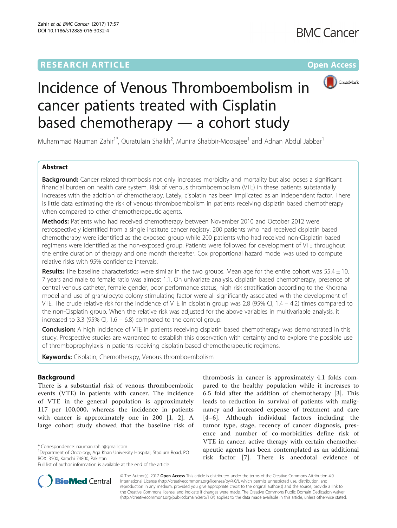# **RESEARCH ARTICLE External Structure Community Community Community Community Community Community Community Community**



# Incidence of Venous Thromboembolism in cancer patients treated with Cisplatin based chemotherapy — a cohort study

Muhammad Nauman Zahir<sup>1\*</sup>, Quratulain Shaikh<sup>2</sup>, Munira Shabbir-Moosajee<sup>1</sup> and Adnan Abdul Jabbar<sup>1</sup>

# Abstract

**Background:** Cancer related thrombosis not only increases morbidity and mortality but also poses a significant financial burden on health care system. Risk of venous thromboembolism (VTE) in these patients substantially increases with the addition of chemotherapy. Lately, cisplatin has been implicated as an independent factor. There is little data estimating the risk of venous thromboembolism in patients receiving cisplatin based chemotherapy when compared to other chemotherapeutic agents.

Methods: Patients who had received chemotherapy between November 2010 and October 2012 were retrospectively identified from a single institute cancer registry. 200 patients who had received cisplatin based chemotherapy were identified as the exposed group while 200 patients who had received non-Cisplatin based regimens were identified as the non-exposed group. Patients were followed for development of VTE throughout the entire duration of therapy and one month thereafter. Cox proportional hazard model was used to compute relative risks with 95% confidence intervals.

Results: The baseline characteristics were similar in the two groups. Mean age for the entire cohort was  $55.4 \pm 10$ . 7 years and male to female ratio was almost 1:1. On univariate analysis, cisplatin based chemotherapy, presence of central venous catheter, female gender, poor performance status, high risk stratification according to the Khorana model and use of granulocyte colony stimulating factor were all significantly associated with the development of VTE. The crude relative risk for the incidence of VTE in cisplatin group was 2.8 (95% CI,  $1.4 - 4.2$ ) times compared to the non-Cisplatin group. When the relative risk was adjusted for the above variables in multivariable analysis, it increased to 3.3 (95% CI,  $1.6 - 6.8$ ) compared to the control group.

**Conclusion:** A high incidence of VTE in patients receiving cisplatin based chemotherapy was demonstrated in this study. Prospective studies are warranted to establish this observation with certainty and to explore the possible use of thromboprophylaxis in patients receiving cisplatin based chemotherapeutic regimens.

Keywords: Cisplatin, Chemotherapy, Venous thromboembolism

# Background

There is a substantial risk of venous thromboembolic events (VTE) in patients with cancer. The incidence of VTE in the general population is approximately 117 per 100,000, whereas the incidence in patients with cancer is approximately one in 200 [\[1](#page-6-0), [2\]](#page-6-0). A large cohort study showed that the baseline risk of

thrombosis in cancer is approximately 4.1 folds compared to the healthy population while it increases to 6.5 fold after the addition of chemotherapy [[3\]](#page-6-0). This leads to reduction in survival of patients with malignancy and increased expense of treatment and care [[4](#page-6-0)–[6\]](#page-6-0). Although individual factors including the tumor type, stage, recency of cancer diagnosis, presence and number of co-morbidities define risk of VTE in cancer, active therapy with certain chemotherapeutic agents has been contemplated as an additional risk factor [[7](#page-6-0)]. There is anecdotal evidence of



© The Author(s). 2017 **Open Access** This article is distributed under the terms of the Creative Commons Attribution 4.0 International License [\(http://creativecommons.org/licenses/by/4.0/](http://creativecommons.org/licenses/by/4.0/)), which permits unrestricted use, distribution, and reproduction in any medium, provided you give appropriate credit to the original author(s) and the source, provide a link to the Creative Commons license, and indicate if changes were made. The Creative Commons Public Domain Dedication waiver [\(http://creativecommons.org/publicdomain/zero/1.0/](http://creativecommons.org/publicdomain/zero/1.0/)) applies to the data made available in this article, unless otherwise stated.

<sup>\*</sup> Correspondence: [nauman.zahir@gmail.com](mailto:nauman.zahir@gmail.com) <sup>1</sup>

<sup>&</sup>lt;sup>1</sup>Department of Oncology, Aga Khan University Hospital, Stadium Road, PO BOX: 3500, Karachi 74800, Pakistan

Full list of author information is available at the end of the article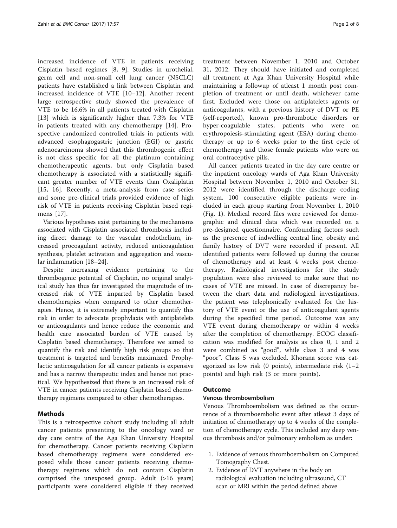increased incidence of VTE in patients receiving Cisplatin based regimes [[8, 9\]](#page-6-0). Studies in urothelial, germ cell and non-small cell lung cancer (NSCLC) patients have established a link between Cisplatin and increased incidence of VTE [[10](#page-6-0)–[12\]](#page-6-0). Another recent large retrospective study showed the prevalence of VTE to be 16.6% in all patients treated with Cisplatin [[13\]](#page-6-0) which is significantly higher than 7.3% for VTE in patients treated with any chemotherapy [[14\]](#page-6-0). Prospective randomized controlled trials in patients with advanced esophagogastric junction (EGJ) or gastric adenocarcinoma showed that this thrombogenic effect is not class specific for all the platinum containing chemotherapeutic agents, but only Cisplatin based chemotherapy is associated with a statistically significant greater number of VTE events than Oxaliplatin [[15,](#page-6-0) [16](#page-7-0)]. Recently, a meta-analysis from case series and some pre-clinical trials provided evidence of high risk of VTE in patients receiving Cisplatin based regimens [[17](#page-7-0)].

Various hypotheses exist pertaining to the mechanisms associated with Cisplatin associated thrombosis including direct damage to the vascular endothelium, increased procoagulant activity, reduced anticoagulation synthesis, platelet activation and aggregation and vascular inflammation [\[18](#page-7-0)–[24\]](#page-7-0).

Despite increasing evidence pertaining to the thrombogenic potential of Cisplatin, no original analytical study has thus far investigated the magnitude of increased risk of VTE imparted by Cisplatin based chemotherapies when compared to other chemotherapies. Hence, it is extremely important to quantify this risk in order to advocate prophylaxis with antiplatelets or anticoagulants and hence reduce the economic and health care associated burden of VTE caused by Cisplatin based chemotherapy. Therefore we aimed to quantify the risk and identify high risk groups so that treatment is targeted and benefits maximized. Prophylactic anticoagulation for all cancer patients is expensive and has a narrow therapeutic index and hence not practical. We hypothesized that there is an increased risk of VTE in cancer patients receiving Cisplatin based chemotherapy regimens compared to other chemotherapies.

# Methods

This is a retrospective cohort study including all adult cancer patients presenting to the oncology ward or day care centre of the Aga Khan University Hospital for chemotherapy. Cancer patients receiving Cisplatin based chemotherapy regimens were considered exposed while those cancer patients receiving chemotherapy regimens which do not contain Cisplatin comprised the unexposed group. Adult (>16 years) participants were considered eligible if they received

treatment between November 1, 2010 and October 31, 2012. They should have initiated and completed all treatment at Aga Khan University Hospital while maintaining a followup of atleast 1 month post completion of treatment or until death, whichever came first. Excluded were those on antiplatelets agents or anticoagulants, with a previous history of DVT or PE (self-reported), known pro-thrombotic disorders or hyper-coagulable states, patients who were on erythropoiesis-stimulating agent (ESA) during chemotherapy or up to 6 weeks prior to the first cycle of chemotherapy and those female patients who were on oral contraceptive pills.

All cancer patients treated in the day care centre or the inpatient oncology wards of Aga Khan University Hospital between November 1, 2010 and October 31, 2012 were identified through the discharge coding system. 100 consecutive eligible patients were included in each group starting from November 1, 2010 (Fig. [1\)](#page-2-0). Medical record files were reviewed for demographic and clinical data which was recorded on a pre-designed questionnaire. Confounding factors such as the presence of indwelling central line, obesity and family history of DVT were recorded if present. All identified patients were followed up during the course of chemotherapy and at least 4 weeks post chemotherapy. Radiological investigations for the study population were also reviewed to make sure that no cases of VTE are missed. In case of discrepancy between the chart data and radiological investigations, the patient was telephonically evaluated for the history of VTE event or the use of anticoagulant agents during the specified time period. Outcome was any VTE event during chemotherapy or within 4 weeks after the completion of chemotherapy. ECOG classification was modified for analysis as class 0, 1 and 2 were combined as "good", while class 3 and 4 was "poor". Class 5 was excluded. Khorana score was categorized as low risk (0 points), intermediate risk (1–2 points) and high risk (3 or more points).

# Outcome

# Venous thromboembolism

Venous Thromboembolism was defined as the occurrence of a thromboembolic event after atleast 3 days of initiation of chemotherapy up to 4 weeks of the completion of chemotherapy cycle. This included any deep venous thrombosis and/or pulmonary embolism as under:

- 1. Evidence of venous thromboembolism on Computed Tomography Chest.
- 2. Evidence of DVT anywhere in the body on radiological evaluation including ultrasound, CT scan or MRI within the period defined above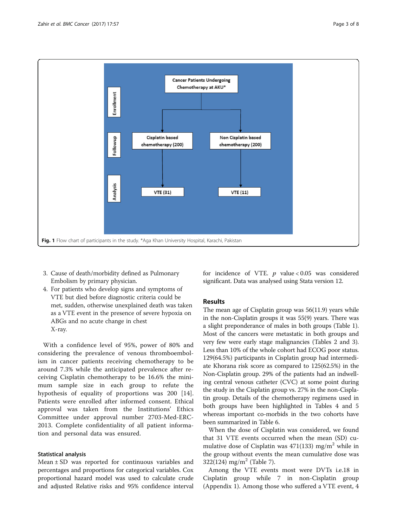<span id="page-2-0"></span>

- 3. Cause of death/morbidity defined as Pulmonary Embolism by primary physician.
- 4. For patients who develop signs and symptoms of VTE but died before diagnostic criteria could be met, sudden, otherwise unexplained death was taken as a VTE event in the presence of severe hypoxia on ABGs and no acute change in chest X-ray.

With a confidence level of 95%, power of 80% and considering the prevalence of venous thromboembolism in cancer patients receiving chemotherapy to be around 7.3% while the anticipated prevalence after receiving Cisplatin chemotherapy to be 16.6% the minimum sample size in each group to refute the hypothesis of equality of proportions was 200 [\[14](#page-6-0)]. Patients were enrolled after informed consent. Ethical approval was taken from the Institutions' Ethics Committee under approval number 2703-Med-ERC-2013. Complete confidentiality of all patient information and personal data was ensured.

# Statistical analysis

Mean  $\pm$  SD was reported for continuous variables and percentages and proportions for categorical variables. Cox proportional hazard model was used to calculate crude and adjusted Relative risks and 95% confidence interval for incidence of VTE.  $p$  value < 0.05 was considered significant. Data was analysed using Stata version 12.

# Results

The mean age of Cisplatin group was 56(11.9) years while in the non-Cisplatin groups it was 55(9) years. There was a slight preponderance of males in both groups (Table [1](#page-3-0)). Most of the cancers were metastatic in both groups and very few were early stage malignancies (Tables [2](#page-3-0) and [3](#page-3-0)). Less than 10% of the whole cohort had ECOG poor status. 129(64.5%) participants in Cisplatin group had intermediate Khorana risk score as compared to 125(62.5%) in the Non-Cisplatin group. 29% of the patients had an indwelling central venous catheter (CVC) at some point during the study in the Cisplatin group vs. 27% in the non-Cisplatin group. Details of the chemotherapy regimens used in both groups have been highlighted in Tables [4](#page-4-0) and [5](#page-4-0) whereas important co-morbids in the two cohorts have been summarized in Table [6.](#page-4-0)

When the dose of Cisplatin was considered, we found that 31 VTE events occurred when the mean (SD) cumulative dose of Cisplatin was  $471(133)$  mg/m<sup>2</sup> while in the group without events the mean cumulative dose was  $322(124)$  mg/m<sup>2</sup> (Table [7\)](#page-4-0).

Among the VTE events most were DVTs i.e.18 in Cisplatin group while 7 in non-Cisplatin group ([Appendix 1\)](#page-5-0). Among those who suffered a VTE event, 4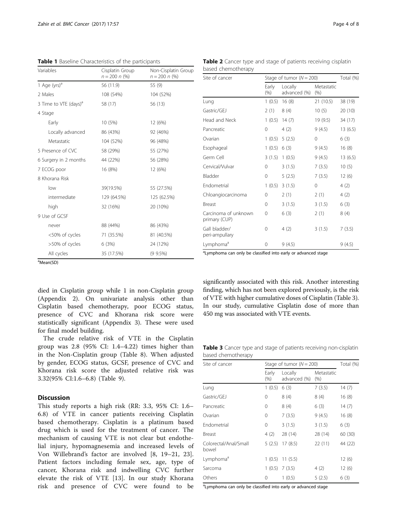<span id="page-3-0"></span>Table 1 Baseline Characteristics of the participants

| Variables                         | Cisplatin Group<br>$n = 200 n$ (%) | Non-Cisplatin Group<br>$n = 200 n$ (%) |  |
|-----------------------------------|------------------------------------|----------------------------------------|--|
| 1 Age (yrs) <sup>a</sup>          | 56 (11.9)                          | 55 (9)                                 |  |
| 2 Males                           | 108 (54%)                          | 104 (52%)                              |  |
| 3 Time to VTE (days) <sup>a</sup> | 58 (17)                            | 56 (13)                                |  |
| 4 Stage                           |                                    |                                        |  |
| Early                             | 10 (5%)                            | 12 (6%)                                |  |
| Locally advanced                  | 86 (43%)                           | 92 (46%)                               |  |
| Metastatic                        | 104 (52%)                          | 96 (48%)                               |  |
| 5 Presence of CVC                 | 58 (29%)                           | 55 (27%)                               |  |
| 6 Surgery in 2 months             | 44 (22%)                           | 56 (28%)                               |  |
| 7 ECOG poor                       | 16 (8%)                            | 12 (6%)                                |  |
| 8 Khorana Risk                    |                                    |                                        |  |
| low                               | 39(19.5%)                          | 55 (27.5%)                             |  |
| intermediate                      | 129 (64.5%)                        | 125 (62.5%)                            |  |
| high                              | 32 (16%)                           | 20 (10%)                               |  |
| 9 Use of GCSF                     |                                    |                                        |  |
| never                             | 88 (44%)                           | 86 (43%)                               |  |
| <50% of cycles                    | 71 (35.5%)                         | 81 (40.5%)                             |  |
| >50% of cycles                    | 6(3%)                              | 24 (12%)                               |  |
| All cycles                        | 35 (17.5%)                         | $(99.5\%)$                             |  |

Table 2 Cancer type and stage of patients receiving cisplatin based chemotherapy

| Site of cancer                        | Stage of tumor ( $N = 200$ ) | Total (%)               |                       |         |
|---------------------------------------|------------------------------|-------------------------|-----------------------|---------|
|                                       | Early<br>$(\% )$             | Locally<br>advanced (%) | Metastatic<br>$(\% )$ |         |
| Lung                                  | 1(0.5)                       | 16(8)                   | 21 (10.5)             | 38 (19) |
| Gastric/GEJ                           | 2(1)                         | 8(4)                    | 10(5)                 | 20 (10) |
| Head and Neck                         | 1(0.5)                       | 14(7)                   | 19 (9.5)              | 34 (17) |
| Pancreatic                            | 0                            | 4(2)                    | 9(4.5)                | 13(6.5) |
| Ovarian                               | 1(0.5)                       | 5(2.5)                  | $\mathbf 0$           | 6(3)    |
| Esophageal                            | 1(0.5)                       | 6(3)                    | 9(4.5)                | 16(8)   |
| Germ Cell                             | 3(1.5)                       | 1(0.5)                  | 9(4.5)                | 13(6.5) |
| Cervical/Vulvar                       | 0                            | 3(1.5)                  | 7(3.5)                | 10(5)   |
| Bladder                               | 0                            | 5(2.5)                  | 7(3.5)                | 12(6)   |
| Endometrial                           | 1(0.5)                       | 3(1.5)                  | $\mathbf 0$           | 4(2)    |
| Chloangiocarcinoma                    | 0                            | 2(1)                    | 2(1)                  | 4(2)    |
| Breast                                | 0                            | 3(1.5)                  | 3(1.5)                | 6(3)    |
| Carcinoma of unknown<br>primary (CUP) | 0                            | 6(3)                    | 2(1)                  | 8(4)    |
| Gall bladder/<br>peri-ampullary       | 0                            | 4(2)                    | 3(1.5)                | 7(3.5)  |
| Lymphoma <sup>a</sup>                 | 0                            | 9(4.5)                  |                       | 9(4.5)  |

<sup>a</sup>Mean(SD)

died in Cisplatin group while 1 in non-Cisplatin group ([Appendix 2\)](#page-6-0). On univariate analysis other than Cisplatin based chemotherapy, poor ECOG status, presence of CVC and Khorana risk score were statistically significant [\(Appendix 3](#page-6-0)). These were used for final model building.

The crude relative risk of VTE in the Cisplatin group was 2.8 (95% CI: 1.4–4.22) times higher than in the Non-Cisplatin group (Table [8\)](#page-5-0). When adjusted by gender, ECOG status, GCSF, presence of CVC and Khorana risk score the adjusted relative risk was 3.32(95% CI:1.6–6.8) (Table [9\)](#page-5-0).

# **Discussion**

This study reports a high risk (RR: 3.3, 95% CI: 1.6– 6.8) of VTE in cancer patients receiving Cisplatin based chemotherapy. Cisplatin is a platinum based drug which is used for the treatment of cancer. The mechanism of causing VTE is not clear but endothelial injury, hypomagnesemia and increased levels of Von Willebrand's factor are involved [[8,](#page-6-0) [19](#page-7-0)–[21](#page-7-0), [23](#page-7-0)]. Patient factors including female sex, age, type of cancer, Khorana risk and indwelling CVC further elevate the risk of VTE [[13](#page-6-0)]. In our study Khorana risk and presence of CVC were found to be <sup>a</sup> Lymphoma can only be classified into early or advanced stage

significantly associated with this risk. Another interesting finding, which has not been explored previously, is the risk of VTE with higher cumulative doses of Cisplatin (Table 3). In our study, cumulative Cisplatin dose of more than 450 mg was associated with VTE events.

Table 3 Cancer type and stage of patients receiving non-cisplatin based chemotherapy

| Site of cancer                 | Stage of tumor $(N = 200)$ | Total (%)               |                       |         |
|--------------------------------|----------------------------|-------------------------|-----------------------|---------|
|                                | Early<br>(% )              | Locally<br>advanced (%) | Metastatic<br>$(\% )$ |         |
| Lung                           | 1(0.5)                     | 6(3)                    | 7(3.5)                | 14(7)   |
| Gastric/GEJ                    | 0                          | 8(4)                    | 8(4)                  | 16(8)   |
| Pancreatic                     | 0                          | 8(4)                    | 6(3)                  | 14(7)   |
| Ovarian                        | 0                          | 7(3.5)                  | 9(4.5)                | 16(8)   |
| Endometrial                    | 0                          | 3(1.5)                  | 3(1.5)                | 6(3)    |
| Breast                         | 4(2)                       | 28 (14)                 | 28 (14)               | 60(30)  |
| Colorectal/Anal/Small<br>bowel | 5(2.5)                     | 17(8.5)                 | 22 (11)               | 44 (22) |
| Lymphoma <sup>a</sup>          | 1(0.5)                     | 11(5.5)                 |                       | 12(6)   |
| Sarcoma                        |                            | $1(0.5)$ 7 (3.5)        | 4(2)                  | 12(6)   |
| Others                         | 0                          | 1(0.5)                  | 5(2.5)                | 6(3)    |

<sup>a</sup> Lymphoma can only be classified into early or advanced stage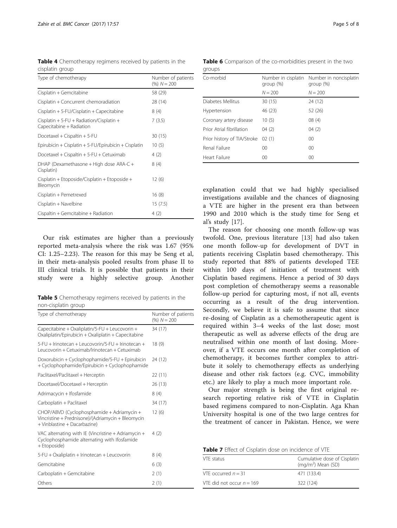<span id="page-4-0"></span>Table 4 Chemotherapy regimens received by patients in the cisplatin group

| Type of chemotherapy                                                 | Number of patients<br>$(%) N = 200$ |
|----------------------------------------------------------------------|-------------------------------------|
| Cisplatin + Gemcitabine                                              | 58 (29)                             |
| Cisplatin + Concurrent chemoradiation                                | 28 (14)                             |
| Cisplatin + 5-FU/Cisplatin + Capecitabine                            | 8(4)                                |
| Cisplatin + 5-FU + Radiation/Cisplatin +<br>Capecitabine + Radiation | 7(3.5)                              |
| Docetaxel + Cispaltin + 5-FU                                         | 30 (15)                             |
| Epirubicin + Cisplatin + 5-FU/Epirubicin + Cisplatin                 | 10(5)                               |
| Docetaxel + Cispaltin + 5-FU + Cetuximab                             | 4(2)                                |
| DHAP (Dexamethasone + High dose ARA-C +<br>Cisplatin)                | 8(4)                                |
| Cisplatin + Etoposide/Cisplatin + Etoposide +<br>Bleomycin           | 12 (6)                              |
| Cisplatin + Pemetrexed                                               | 16(8)                               |
| Cisplatin + Navelbine                                                | 15(7.5)                             |
| Cispaltin + Gemcitabine + Radiation                                  | 4(2)                                |

Our risk estimates are higher than a previously reported meta-analysis where the risk was 1.67 (95% CI: 1.25–2.23). The reason for this may be Seng et al, in their meta-analysis pooled results from phase II to III clinical trials. It is possible that patients in their study were a highly selective group. Another

Table 5 Chemotherapy regimens received by patients in the non-cisplatin group

| Type of chemotherapy                                                                                                            | Number of patients<br>$(%) N = 200$ |
|---------------------------------------------------------------------------------------------------------------------------------|-------------------------------------|
| Capecitabine + Oxaliplatin/5-FU + Leucovorin +<br>Oxaliplatin/Epirubicin + Oxaliplatin + Capecitabine                           | 34 (17)                             |
| 5-FU + Irinotecan + Leucovorin/5-FU + Irinotecan +<br>Leucovorin + Cetuximab/Irinotecan + Cetuximab                             | 18(9)                               |
| Doxorubicin + Cyclophophamide/5-FU + Epirubicin<br>+ Cyclophophamide/Epirubicin + Cyclophophamide                               | 24 (12)                             |
| Paclitaxel/Paclitaxel + Herceptin                                                                                               | 22 (11)                             |
| Docetaxel/Docetaxel + Herceptin                                                                                                 | 26 (13)                             |
| Adrimacycin + Ifosfamide                                                                                                        | 8(4)                                |
| Carboplatin + Paclitaxel                                                                                                        | 34 (17)                             |
| CHOP/ABVD (Cyclophosphamide + Adriamycin +<br>Vincristine + Prednisone)/(Adriamycin + Bleomycin<br>+ Vinblastine + Dacarbazine) | 12(6)                               |
| VAC alternating with IE (Vincristine + Adriamycin +<br>Cyclophosphamide alternating with Ifosfamide<br>+ Etoposide)             | 4 (2)                               |
| 5-FU + Oxaliplatin + Irinotecan + Leucovorin                                                                                    | 8(4)                                |
| Gemcitabine                                                                                                                     | 6(3)                                |
| Carboplatin + Gemcitabine                                                                                                       | 2(1)                                |
| Others                                                                                                                          | 2(1)                                |

Table 6 Comparison of the co-morbidities present in the two groups

| Co-morbid                   | Number in cisplatin<br>$qroup$ $%$ | Number in noncisplatin<br>$qroup$ $%$ |  |
|-----------------------------|------------------------------------|---------------------------------------|--|
|                             | $N = 200$                          | $N = 200$                             |  |
| Diabetes Mellitus           | 30(15)                             | 24 (12)                               |  |
| Hypertension                | 46 (23)                            | 52 (26)                               |  |
| Coronary artery disease     | 10(5)                              | 08(4)                                 |  |
| Prior Atrial fibrillation   | 04(2)                              | 04(2)                                 |  |
| Prior history of TIA/Stroke | 02(1)                              | 00                                    |  |
| Renal Failure               | 00                                 | 00                                    |  |
| Heart Failure               | 00                                 | 00                                    |  |

explanation could that we had highly specialised investigations available and the chances of diagnosing a VTE are higher in the present era than between 1990 and 2010 which is the study time for Seng et al's study [[17\]](#page-7-0).

The reason for choosing one month follow-up was twofold. One, previous literature [[13\]](#page-6-0) had also taken one month follow-up for development of DVT in patients receiving Cisplatin based chemotherapy. This study reported that 88% of patients developed TEE within 100 days of initiation of treatment with Cisplatin based regimens. Hence a period of 30 days post completion of chemotherapy seems a reasonable follow-up period for capturing most, if not all, events occurring as a result of the drug intervention. Secondly, we believe it is safe to assume that since re-dosing of Cisplatin as a chemotherapeutic agent is required within 3–4 weeks of the last dose; most therapeutic as well as adverse effects of the drug are neutralised within one month of last dosing. Moreover, if a VTE occurs one month after completion of chemotherapy, it becomes further complex to attribute it solely to chemotherapy effects as underlying disease and other risk factors (e.g. CVC, immobility etc.) are likely to play a much more important role.

Our major strength is being the first original research reporting relative risk of VTE in Cisplatin based regimens compared to non-Cisplatin. Aga Khan University hospital is one of the two large centres for the treatment of cancer in Pakistan. Hence, we were

| Table 7 Effect of Cisplatin dose on incidence of VTE |  |
|------------------------------------------------------|--|
|------------------------------------------------------|--|

| VTF status                  | Cumulative dose of Cisplatin<br>$(mq/m2)$ Mean (SD) |
|-----------------------------|-----------------------------------------------------|
| VTE occurred $n = 31$       | 471 (133.4)                                         |
| VTF did not occur $n = 169$ | 322 (124)                                           |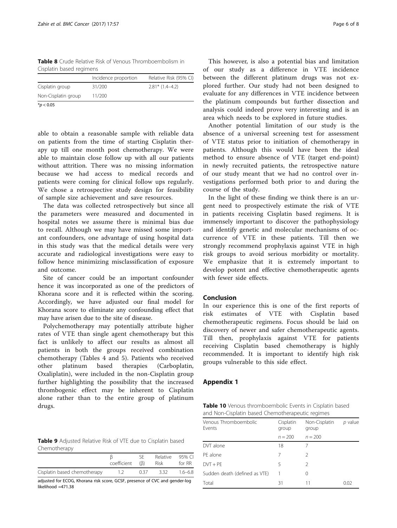<span id="page-5-0"></span>Table 8 Crude Relative Risk of Venous Thromboembolism in Cisplatin based regimens

| $*$ $\sim$ $\sim$ $\sim$ $\sim$ |                      |                        |
|---------------------------------|----------------------|------------------------|
| Non-Cisplatin group             | 11/200               |                        |
| Cisplatin group                 | 31/200               | $2.81*$ (1.4-4.2)      |
|                                 | Incidence proportion | Relative Risk (95% CI) |
|                                 |                      |                        |

 $*$ *p* < 0.05

able to obtain a reasonable sample with reliable data on patients from the time of starting Cisplatin therapy up till one month post chemotherapy. We were able to maintain close follow up with all our patients without attrition. There was no missing information because we had access to medical records and patients were coming for clinical follow ups regularly. We chose a retrospective study design for feasibility of sample size achievement and save resources.

The data was collected retrospectively but since all the parameters were measured and documented in hospital notes we assume there is minimal bias due to recall. Although we may have missed some important confounders, one advantage of using hospital data in this study was that the medical details were very accurate and radiological investigations were easy to follow hence minimizing misclassification of exposure and outcome.

Site of cancer could be an important confounder hence it was incorporated as one of the predictors of Khorana score and it is reflected within the scoring. Accordingly, we have adjusted our final model for Khorana score to eliminate any confounding effect that may have arisen due to the site of disease.

Polychemotherapy may potentially attribute higher rates of VTE than single agent chemotherapy but this fact is unlikely to affect our results as almost all patients in both the groups received combination chemotherapy (Tables [4](#page-4-0) and [5](#page-4-0)). Patients who received other platinum based therapies (Carboplatin, Oxaliplatin), were included in the non-Cisplatin group further highlighting the possibility that the increased thrombogenic effect may be inherent to Cisplatin alone rather than to the entire group of platinum drugs.

Table 9 Adjusted Relative Risk of VTE due to Cisplatin based Chemotherapy

|                              | coefficient | (B)  | Relative 95% CI<br>Risk | for RR      |
|------------------------------|-------------|------|-------------------------|-------------|
| Cisplatin based chemotherapy |             | 0.37 | 3.32                    | $1.6 - 6.8$ |

adjusted for ECOG, Khorana risk score, GCSF, presence of CVC and gender-log likelihood =471.38

This however, is also a potential bias and limitation of our study as a difference in VTE incidence between the different platinum drugs was not explored further. Our study had not been designed to evaluate for any differences in VTE incidence between the platinum compounds but further dissection and analysis could indeed prove very interesting and is an area which needs to be explored in future studies.

Another potential limitation of our study is the absence of a universal screening test for assessment of VTE status prior to initiation of chemotherapy in patients. Although this would have been the ideal method to ensure absence of VTE (target end-point) in newly recruited patients, the retrospective nature of our study meant that we had no control over investigations performed both prior to and during the course of the study.

In the light of these finding we think there is an urgent need to prospectively estimate the risk of VTE in patients receiving Cisplatin based regimens. It is immensely important to discover the pathophysiology and identify genetic and molecular mechanisms of occurrence of VTE in these patients. Till then we strongly recommend prophylaxis against VTE in high risk groups to avoid serious morbidity or mortality. We emphasize that it is extremely important to develop potent and effective chemotherapeutic agents with fewer side effects.

# Conclusion

In our experience this is one of the first reports of risk estimates of VTE with Cisplatin based chemotherapeutic regimens. Focus should be laid on discovery of newer and safer chemotherapeutic agents. Till then, prophylaxis against VTE for patients receiving Cisplatin based chemotherapy is highly recommended. It is important to identify high risk groups vulnerable to this side effect.

#### Appendix 1

| Table 10 Venous thromboembolic Events in Cisplatin based |  |
|----------------------------------------------------------|--|
| and Non-Cisplatin based Chemotherapeutic regimes         |  |

| Venous Thromboembolic<br>Events | Cisplatin<br>group | Non-Cisplatin<br>group | $p$ value |
|---------------------------------|--------------------|------------------------|-----------|
|                                 | $n = 200$          | $n = 200$              |           |
| DVT alone                       | 18                 |                        |           |
| PE alone                        | 7                  | 2                      |           |
| $DVT + PE$                      | 5                  | $\mathcal{P}$          |           |
| Sudden death (defined as VTE)   |                    | 0                      |           |
| Total                           | 31                 | 11                     | 0.02      |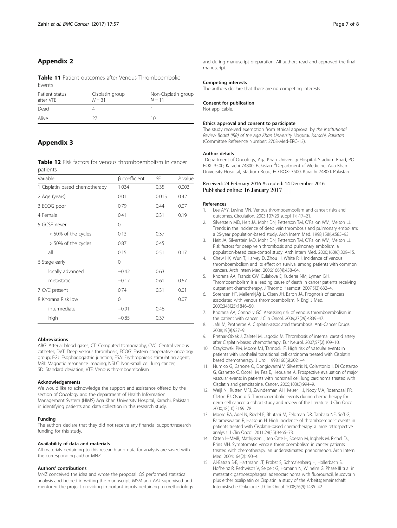# <span id="page-6-0"></span>Appendix 2

Table 11 Patient outcomes after Venous Thromboembolic Events

| Patient status<br>after VTF | Cisplatin group<br>$N = 31$ | Non-Cisplatin group<br>$N = 11$ |
|-----------------------------|-----------------------------|---------------------------------|
| Dead                        |                             |                                 |
| Alive                       | 77                          | 10                              |

# Appendix 3

Table 12 Risk factors for venous thromboembolism in cancer patients

| Variable                       | β coefficient<br>1.034 | SE.<br>0.35 | $P$ value<br>0.003 |
|--------------------------------|------------------------|-------------|--------------------|
| 1 Cisplatin based chemotherapy |                        |             |                    |
| 2 Age (years)                  | 0.01                   | 0.015       | 0.42               |
| 3 ECOG poor                    | 0.79                   | 0.44        | 0.07               |
| 4 Female                       | 0.41                   | 0.31        | 0.19               |
| 5 GCSF never                   | $\Omega$               |             |                    |
| < 50% of the cycles            | 0.13                   | 0.37        |                    |
| > 50% of the cycles            | 0.87                   | 0.45        |                    |
| all                            | 0.15                   | 0.51        | 0.17               |
| 6 Stage early                  | $\Omega$               |             |                    |
| locally advanced               | $-0.42$                | 0.63        |                    |
| metastatic                     | $-0.17$                | 0.61        | 0.67               |
| 7 CVC present                  | 0.74                   | 0.31        | 0.01               |
| 8 Khorana Risk low             | 0                      |             | 0.07               |
| intermediate                   | $-0.91$                | 0.46        |                    |
| high                           | $-0.85$                | 0.37        |                    |

#### Abbreviations

ABG: Arterial blood gases; CT: Computed tomography; CVC: Central venous catheter; DVT: Deep venous thrombosis; ECOG: Eastern cooperative oncology group; EGJ: Esophagogastric junction; ESA: Erythropoiesis stimulating agent; MRI: Magnetic resonance imaging; NSLC: Non-small cell lung cancer; SD: Standard deviation; VTE: Venous thromboembolism

#### Acknowledgements

We would like to acknowledge the support and assistance offered by the section of Oncology and the department of Health Information Management System (HIMS) Aga Khan University Hospital, Karachi, Pakistan in identifying patients and data collection in this research study.

#### Funding

The authors declare that they did not receive any financial support/research funding for this study.

#### Availability of data and materials

All materials pertaining to this research and data for analysis are saved with the corresponding author MNZ.

#### Authors' contributions

MNZ conceived the idea and wrote the proposal. QS performed statistical analysis and helped in writing the manuscript. MSM and AAJ supervised and mentored the project providing important inputs pertaining to methodology and during manuscript preparation. All authors read and approved the final manuscript.

#### Competing interests

The authors declare that there are no competing interests.

#### Consent for publication

Not applicable.

#### Ethics approval and consent to participate

The study received exemption from ethical approval by the Institutional Review Board (IRB) of the Aga Khan University Hospital, Karachi, Pakistan (Committee Reference Number: 2703-Med-ERC-13).

#### Author details

<sup>1</sup>Department of Oncology, Aga Khan University Hospital, Stadium Road, PC BOX: 3500, Karachi 74800, Pakistan. <sup>2</sup>Department of Medicine, Aga Khan University Hospital, Stadium Road, PO BOX: 3500, Karachi 74800, Pakistan.

#### Received: 24 February 2016 Accepted: 14 December 2016 Published online: 16 January 2017

#### References

- 1. Lee AYY, Levine MN. Venous thromboembolism and cancer: risks and outcomes. Circulation. 2003;107(23 suppl 1):I-17–21.
- 2. Silverstein MD, Heit JA, Mohr DN, Petterson TM, O'Fallon WM, Melton LJ. Trends in the incidence of deep vein thrombosis and pulmonary embolism: a 25-year population-based study. Arch Intern Med. 1998;158(6):585–93.
- 3. Heit JA, Silverstein MD, Mohr DN, Petterson TM, O'Fallon WM, Melton LJ. Risk factors for deep vein thrombosis and pulmonary embolism: a population-based case-control study. Arch Intern Med. 2000;160(6):809–15.
- 4. Chew HK, Wun T, Harvey D, Zhou H, White RH. Incidence of venous thromboembolism and its effect on survival among patients with common cancers. Arch Intern Med. 2006;166(4):458–64.
- 5. Khorana AA, Francis CW, Culakova E, Kuderer NM, Lyman GH. Thromboembolism is a leading cause of death in cancer patients receiving outpatient chemotherapy. J Thromb Haemost. 2007;5(3):632–4.
- 6. Sorensen HT, MellemkjĦr L, Olsen JH, Baron JA. Prognosis of cancers associated with venous thromboembolism. N Engl J Med. 2000;343(25):1846–50.
- 7. Khorana AA, Connolly GC. Assessing risk of venous thromboembolism in the patient with cancer. J Clin Oncol. 2009;27(29):4839–47.
- 8. Jafri M, Protheroe A. Cisplatin-associated thrombosis. Anti-Cancer Drugs. 2008;19(9):927–9.
- 9. Pretnar-Oblak J, Zaletel M, Jagodic M. Thrombosis of internal carotid artery after Cisplatin-based chemotherapy. Eur Neurol. 2007;57(2):109–10.
- 10. Czaykowski PM, Moore MJ, Tannock IF. High risk of vascular events in patients with urothelial transitional cell carcinoma treated with Cisplatin based chemotherapy. J Urol. 1998;160(6):2021–4.
- 11. Numico G, Garrone O, Dongiovanni V, Silvestris N, Colantonio I, Di Costanzo G, Granetto C, Occelli M, Fea E, Heouaine A. Prospective evaluation of major vascular events in patients with nonsmall cell lung carcinoma treated with Cisplatin and gemcitabine. Cancer. 2005;103(5):994–9.
- 12. Weijl NI, Rutten MFJ, Zwinderman AH, Keizer HJ, Nooy MA, Rosendaal FR, Cleton FJ, Osanto S. Thromboembolic events during chemotherapy for germ cell cancer: a cohort study and review of the literature. J Clin Oncol. 2000;18(10):2169–78.
- 13. Moore RA, Adel N, Riedel E, Bhutani M, Feldman DR, Tabbara NE, Soff G, Parameswaran R, Hassoun H. High incidence of thromboembolic events in patients treated with Cisplatin-based chemotherapy: a large retrospective analysis. J Clin Oncol. 2011;29(25):3466–73.
- 14. Otten H-MMB, Mathijssen J, ten Cate H, Soesan M, Inghels M, Richel DJ, Prins MH. Symptomatic venous thromboembolism in cancer patients treated with chemotherapy: an underestimated phenomenon. Arch Intern Med. 2004;164(2):190–4.
- 15. Al-Batran S-E, Hartmann JT, Probst S, Schmalenberg H, Hollerbach S, Hofheinz R, Rethwisch V, Seipelt G, Homann N, Wilhelm G. Phase III trial in metastatic gastroesophageal adenocarcinoma with fluorouracil, leucovorin plus either oxaliplatin or Cisplatin: a study of the Arbeitsgemeinschaft Internistische Onkologie. J Clin Oncol. 2008;26(9):1435–42.